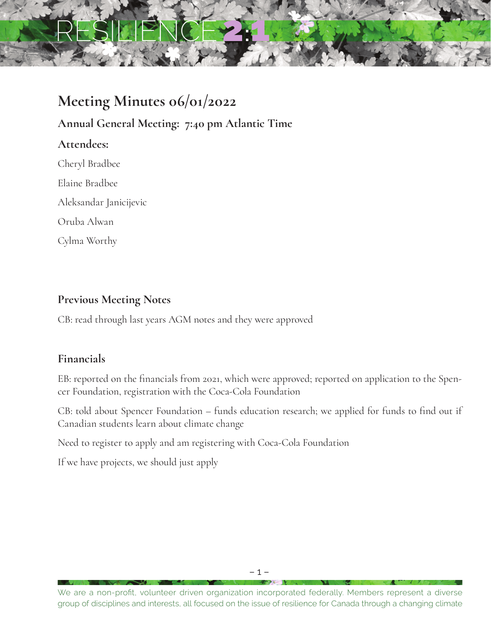# RESILIENCE2:1

## **Meeting Minutes 06/01/2022**

**Annual General Meeting: 7:40 pm Atlantic Time**

**Attendees:**

Cheryl Bradbee

Elaine Bradbee

Aleksandar Janicijevic

Oruba Alwan

Cylma Worthy

### **Previous Meeting Notes**

CB: read through last years AGM notes and they were approved

### **Financials**

EB: reported on the financials from 2021, which were approved; reported on application to the Spencer Foundation, registration with the Coca-Cola Foundation

CB: told about Spencer Foundation – funds education research; we applied for funds to find out if Canadian students learn about climate change

Need to register to apply and am registering with Coca-Cola Foundation

If we have projects, we should just apply

We are a non-profit, volunteer driven organization incorporated federally. Members represent a diverse group of disciplines and interests, all focused on the issue of resilience for Canada through a changing climate